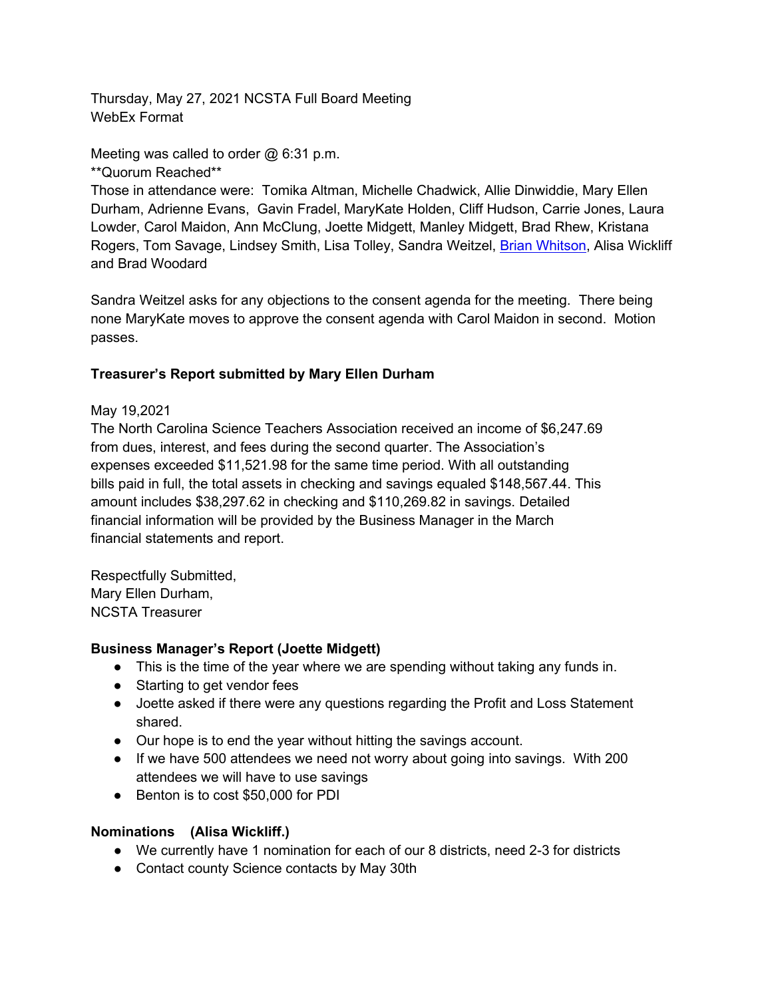Thursday, May 27, 2021 NCSTA Full Board Meeting WebEx Format

Meeting was called to order @ 6:31 p.m.

\*\*Quorum Reached\*\*

Those in attendance were: Tomika Altman, Michelle Chadwick, Allie Dinwiddie, Mary Ellen Durham, Adrienne Evans, Gavin Fradel, MaryKate Holden, Cliff Hudson, Carrie Jones, Laura Lowder, Carol Maidon, Ann McClung, Joette Midgett, Manley Midgett, Brad Rhew, Kristana Rogers, Tom Savage, Lindsey Smith, Lisa Tolley, Sandra Weitzel, [Brian Whitson,](mailto:whitsonba@gmail.com) Alisa Wickliff and Brad Woodard

Sandra Weitzel asks for any objections to the consent agenda for the meeting. There being none MaryKate moves to approve the consent agenda with Carol Maidon in second. Motion passes.

### **Treasurer's Report submitted by Mary Ellen Durham**

#### May 19,2021

The North Carolina Science Teachers Association received an income of \$6,247.69 from dues, interest, and fees during the second quarter. The Association's expenses exceeded \$11,521.98 for the same time period. With all outstanding bills paid in full, the total assets in checking and savings equaled \$148,567.44. This amount includes \$38,297.62 in checking and \$110,269.82 in savings. Detailed financial information will be provided by the Business Manager in the March financial statements and report.

Respectfully Submitted, Mary Ellen Durham, NCSTA Treasurer

#### **Business Manager's Report (Joette Midgett)**

- This is the time of the year where we are spending without taking any funds in.
- Starting to get vendor fees
- Joette asked if there were any questions regarding the Profit and Loss Statement shared.
- Our hope is to end the year without hitting the savings account.
- If we have 500 attendees we need not worry about going into savings. With 200 attendees we will have to use savings
- Benton is to cost \$50,000 for PDI

#### **Nominations (Alisa Wickliff.)**

- We currently have 1 nomination for each of our 8 districts, need 2-3 for districts
- Contact county Science contacts by May 30th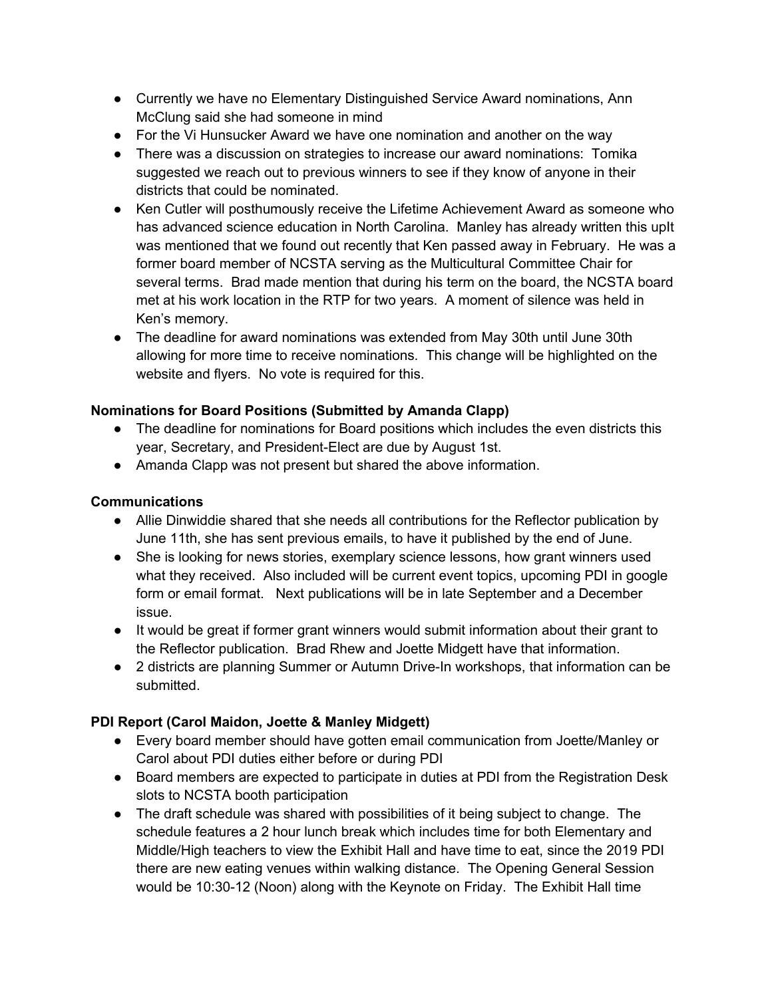- Currently we have no Elementary Distinguished Service Award nominations, Ann McClung said she had someone in mind
- For the Vi Hunsucker Award we have one nomination and another on the way
- There was a discussion on strategies to increase our award nominations: Tomika suggested we reach out to previous winners to see if they know of anyone in their districts that could be nominated.
- Ken Cutler will posthumously receive the Lifetime Achievement Award as someone who has advanced science education in North Carolina. Manley has already written this upIt was mentioned that we found out recently that Ken passed away in February. He was a former board member of NCSTA serving as the Multicultural Committee Chair for several terms. Brad made mention that during his term on the board, the NCSTA board met at his work location in the RTP for two years. A moment of silence was held in Ken's memory.
- The deadline for award nominations was extended from May 30th until June 30th allowing for more time to receive nominations. This change will be highlighted on the website and flyers. No vote is required for this.

#### **Nominations for Board Positions (Submitted by Amanda Clapp)**

- The deadline for nominations for Board positions which includes the even districts this year, Secretary, and President-Elect are due by August 1st.
- Amanda Clapp was not present but shared the above information.

#### **Communications**

- Allie Dinwiddie shared that she needs all contributions for the Reflector publication by June 11th, she has sent previous emails, to have it published by the end of June.
- She is looking for news stories, exemplary science lessons, how grant winners used what they received. Also included will be current event topics, upcoming PDI in google form or email format. Next publications will be in late September and a December issue.
- It would be great if former grant winners would submit information about their grant to the Reflector publication. Brad Rhew and Joette Midgett have that information.
- 2 districts are planning Summer or Autumn Drive-In workshops, that information can be submitted.

# **PDI Report (Carol Maidon, Joette & Manley Midgett)**

- Every board member should have gotten email communication from Joette/Manley or Carol about PDI duties either before or during PDI
- Board members are expected to participate in duties at PDI from the Registration Desk slots to NCSTA booth participation
- The draft schedule was shared with possibilities of it being subject to change. The schedule features a 2 hour lunch break which includes time for both Elementary and Middle/High teachers to view the Exhibit Hall and have time to eat, since the 2019 PDI there are new eating venues within walking distance. The Opening General Session would be 10:30-12 (Noon) along with the Keynote on Friday. The Exhibit Hall time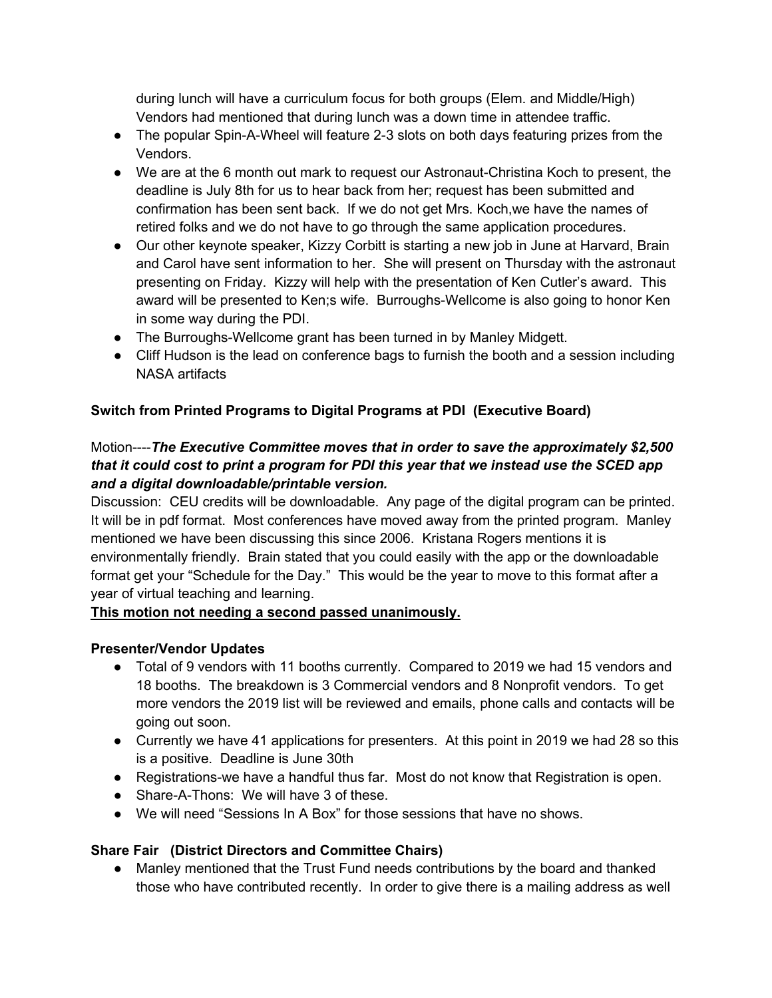during lunch will have a curriculum focus for both groups (Elem. and Middle/High) Vendors had mentioned that during lunch was a down time in attendee traffic.

- The popular Spin-A-Wheel will feature 2-3 slots on both days featuring prizes from the Vendors.
- We are at the 6 month out mark to request our Astronaut-Christina Koch to present, the deadline is July 8th for us to hear back from her; request has been submitted and confirmation has been sent back. If we do not get Mrs. Koch,we have the names of retired folks and we do not have to go through the same application procedures.
- Our other keynote speaker, Kizzy Corbitt is starting a new job in June at Harvard, Brain and Carol have sent information to her. She will present on Thursday with the astronaut presenting on Friday. Kizzy will help with the presentation of Ken Cutler's award. This award will be presented to Ken;s wife. Burroughs-Wellcome is also going to honor Ken in some way during the PDI.
- The Burroughs-Wellcome grant has been turned in by Manley Midgett.
- Cliff Hudson is the lead on conference bags to furnish the booth and a session including NASA artifacts

# **Switch from Printed Programs to Digital Programs at PDI (Executive Board)**

### Motion----*The Executive Committee moves that in order to save the approximately \$2,500 that it could cost to print a program for PDI this year that we instead use the SCED app and a digital downloadable/printable version.*

Discussion: CEU credits will be downloadable. Any page of the digital program can be printed. It will be in pdf format. Most conferences have moved away from the printed program. Manley mentioned we have been discussing this since 2006. Kristana Rogers mentions it is environmentally friendly. Brain stated that you could easily with the app or the downloadable format get your "Schedule for the Day." This would be the year to move to this format after a year of virtual teaching and learning.

# **This motion not needing a second passed unanimously.**

# **Presenter/Vendor Updates**

- Total of 9 vendors with 11 booths currently. Compared to 2019 we had 15 vendors and 18 booths. The breakdown is 3 Commercial vendors and 8 Nonprofit vendors. To get more vendors the 2019 list will be reviewed and emails, phone calls and contacts will be going out soon.
- Currently we have 41 applications for presenters. At this point in 2019 we had 28 so this is a positive. Deadline is June 30th
- Registrations-we have a handful thus far. Most do not know that Registration is open.
- Share-A-Thons: We will have 3 of these.
- We will need "Sessions In A Box" for those sessions that have no shows.

# **Share Fair (District Directors and Committee Chairs)**

● Manley mentioned that the Trust Fund needs contributions by the board and thanked those who have contributed recently. In order to give there is a mailing address as well